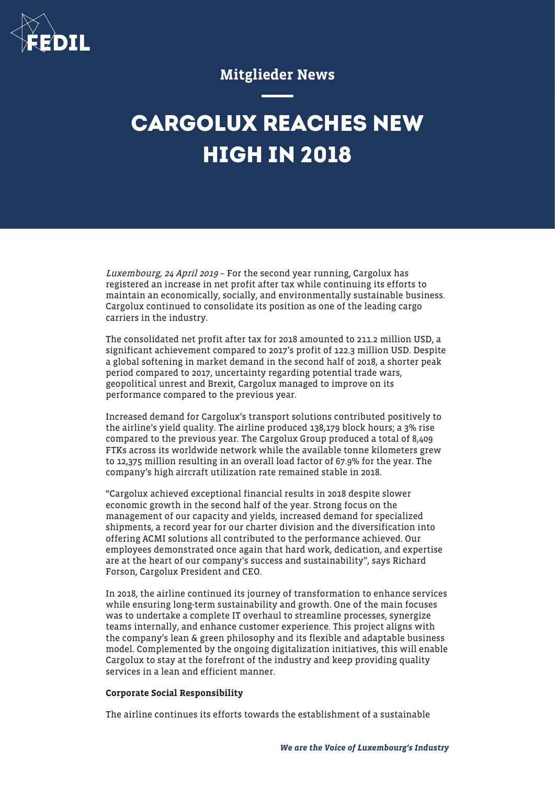

## Mitglieder News

## **CARGOLUX REACHES NEW HIGH IN 2018**

Luxembourg, 24 April 2019 – For the second year running, Cargolux has registered an increase in net profit after tax while continuing its efforts to maintain an economically, socially, and environmentally sustainable business. Cargolux continued to consolidate its position as one of the leading cargo carriers in the industry.

The consolidated net profit after tax for 2018 amounted to 211.2 million USD, a significant achievement compared to 2017's profit of 122.3 million USD. Despite a global softening in market demand in the second half of 2018, a shorter peak period compared to 2017, uncertainty regarding potential trade wars, geopolitical unrest and Brexit, Cargolux managed to improve on its performance compared to the previous year.

Increased demand for Cargolux's transport solutions contributed positively to the airline's yield quality. The airline produced 138,179 block hours; a 3% rise compared to the previous year. The Cargolux Group produced a total of 8,409 FTKs across its worldwide network while the available tonne kilometers grew to 12,375 million resulting in an overall load factor of 67.9% for the year. The company's high aircraft utilization rate remained stable in 2018.

"Cargolux achieved exceptional financial results in 2018 despite slower economic growth in the second half of the year. Strong focus on the management of our capacity and yields, increased demand for specialized shipments, a record year for our charter division and the diversification into offering ACMI solutions all contributed to the performance achieved. Our employees demonstrated once again that hard work, dedication, and expertise are at the heart of our company's success and sustainability", says Richard Forson, Cargolux President and CEO.

In 2018, the airline continued its journey of transformation to enhance services while ensuring long-term sustainability and growth. One of the main focuses was to undertake a complete IT overhaul to streamline processes, synergize teams internally, and enhance customer experience. This project aligns with the company's lean & green philosophy and its flexible and adaptable business model. Complemented by the ongoing digitalization initiatives, this will enable Cargolux to stay at the forefront of the industry and keep providing quality services in a lean and efficient manner.

## Corporate Social Responsibility

The airline continues its efforts towards the establishment of a sustainable